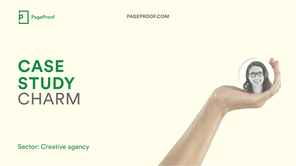

Sector: Creative agency

**PAGEPROOF.COM**

**CASE STUDY** CHARM

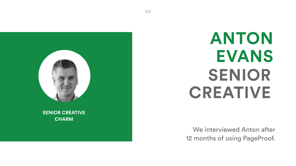## **ANTON EVANS SENIOR CREATIVE**

We interviewed Anton after 12 months of using PageProof.



### **SENIOR CREATIVE CHARM**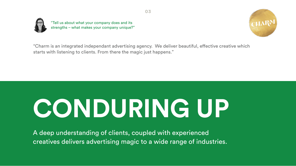



"Charm is an integrated independant advertising agency. We deliver beautiful, effective creative which starts with listening to clients. From there the magic just happens." word "Charm" on a slight upward upward upward upward upward upward upward upward upward upward upward upward upward



"Tell us about what your company does and its strengths – what makes your company unique?"

## **CONDURING UP**

A deep understanding of clients, coupled with experienced creatives delivers advertising magic to a wide range of industries.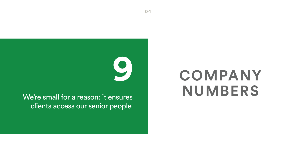## **9 COMPANY NUMBERS**

We're small for a reason: it ensures clients access our senior people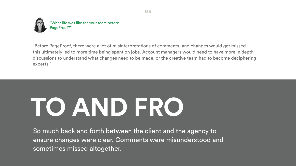

"What life was like for your team before PageProof?"

"Before PageProof, there were a lot of misinterpretations of comments, and changes would get missed – this ultimately led to more time being spent on jobs. Account managers would need to have more in depth discussions to understand what changes need to be made, or the creative team had to become deciphering experts."

# **TO AND FRO**

So much back and forth between the client and the agency to ensure changes were clear. Comments were misunderstood and sometimes missed altogether.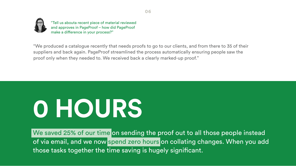We saved 25% of our time on sending the proof out to all those people instead of via email, and we now spend zero hours on collating changes. When you add those tasks together the time saving is hugely significant.

# **0 HOURS**

word "Charm" on a slight upward "We produced a catalogue recently that needs proofs to go to our clients, and from there to 35 of their suppliers and back again. PageProof streamlined the process automatically ensuring people saw the proof only when they needed to. We received back a clearly marked-up proof."



"Tell us abouta recent piece of material reviewed and approves in PageProof – how did PageProof make a difference in your process?"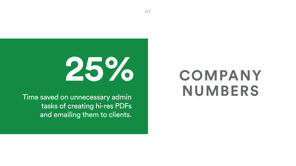### **COMPANY NUMBERS**

Time saved on unnecessary admin tasks of creating hi-res PDFs and emailing them to clients.

# **25%**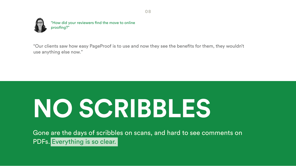Gone are the days of scribbles on scans, and hard to see comments on PDFs. Everything is so clear.

# **NO SCRIBBLES**

"Our clients saw how easy PageProof is to use and now they see the benefits for them, they wouldn't use anything else now."



"How did your reviewers find the move to online proofing?"

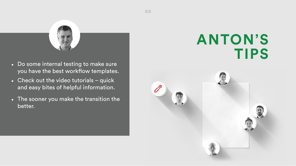### **ANTON'S TIPS**





- Do some internal testing to make sure you have the best workflow templates.
- Check out the video tutorials quick and easy bites of helpful information.
- The sooner you make the transition the better.

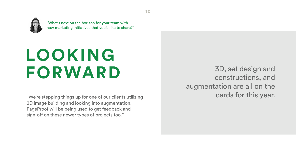## **LOOKING FORWARD**

"We're stepping things up for one of our clients utilizing 3D image building and looking into augmentation. PageProof will be being used to get feedback and sign-off on these newer types of projects too."



"What's next on the horizon for your team with new marketing initiatives that you'd like to share?"

> 3D, set design and constructions, and augmentation are all on the cards for this year.